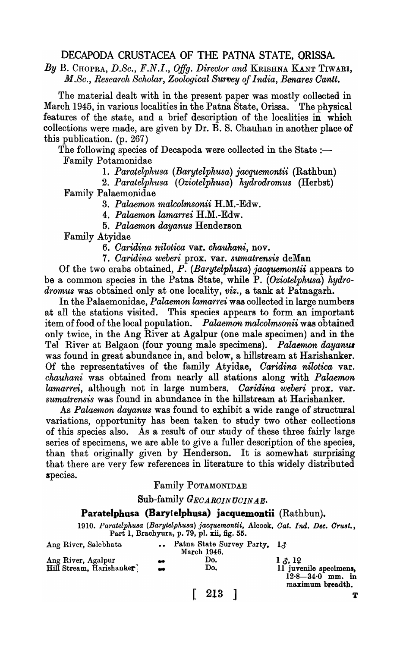# DECAPODA CRUSTACEA OF THE PATNA STATE, ORISSA.

*By* B. CHOPRA, *D.Sc., F.N.I., Offg. Director and* KRISHNA KANT TIWARI, *M.Sc., Research Scholar, Zoological Survey of India, Benares Cantt.* 

The material dealt with in the present paper was mostly collected in March 1945, in various localities in the Patna State, Orissa. The physical features of the state, and a brief description of the localities in which collections were made, are given by Dr. B. S. Chauhan in another place of this publication. (p. 267) .

The following species of Decapoda were collected in the State  $:$ Family Potamonidae

1. *Paratelphusa (Barytelphusa) jacquemontii* (Rathbun)

*2. Paratelphusa (Oziotelphusa) hydrodromus* (Herbst)

Family Palaemonidae

*3. Palaemon malcolmsonii* H.M.-Edw.

*4. Palaemon lamarrei* H.M.-Edw.

*5. Palaemon dayanus* Henderson

Family Atyidae

*6. Oaridina nilotica* var. *chauhani,* nov.

*7. Oaridina weberi* prox. var. *sumatrensis* deMan

Of the two crabs obtained, *P. (Barytelphusa) jacquemontii* appears to be a common species in the Patna State, while P. *(Oziotelphusa) hydrodromus* was obtained only at one locality, *viz.,* a tank at Patnagarh.

In the Palaemonidae, *Palaemon lamarrei* was collected in large numbers at all the stations visited. This species appears to form an important item of food of the local population. *Palaemon malcolmsonii* was obtained only twice, in the Ang River at Agalpur (one male specimen) and in the Tel River at Belgaon (four young male specimens). *Palaemon dayanus* was found in great abundance in, and below, a hillstream at Harishanker. Of the representatives of the family Atyidae, *Oaridina nilotica* var. *chauhani* was obtained from nearly all stations along with *Palaemon lamarrei,* although not in large numbers. *Oaridina weberi* prox. var. *sumatrensis* was found in abundance in the hillstream at Harishanker.

As *Palaemon dayanus* was found to exhibit a wide range of structural variations, opportunity has been taken to study two other collections of this species also. As a result of our study of these three fairly large series of specimens, we are able to give a fuller description of the species, than that originally given by Henderson. It is somewhat surprising that there are very few references in literature to this widely distributed species.

## Family POTAMONIDAE

Sub-family *GECARCINUCINAE*.

# Paratelphusa (Barylelphusa) jacquemontii (Rathbun).

*1910. Paratelphu&a (Barytelphu8a) jacquemontii,* Aloook, *Oat. Ind. Dee. Oru8t.,*  Part 1, Brachyura, p. 79, pI. xii, fig. 55.

| Ang River, Salebhata                           |           | Patna State Survey Party, 13<br>March 1946. |                                                                    |
|------------------------------------------------|-----------|---------------------------------------------|--------------------------------------------------------------------|
| Ang River, Agalpur<br>Hill Stream, Harishanker | $\bullet$ | Do.<br>Do.                                  | $1 \lambda$ , 12<br>11 juvenile specimens,<br>$12.8 - 34.0$ mm, in |
|                                                |           |                                             | maximum breadth.                                                   |

[ 213 ]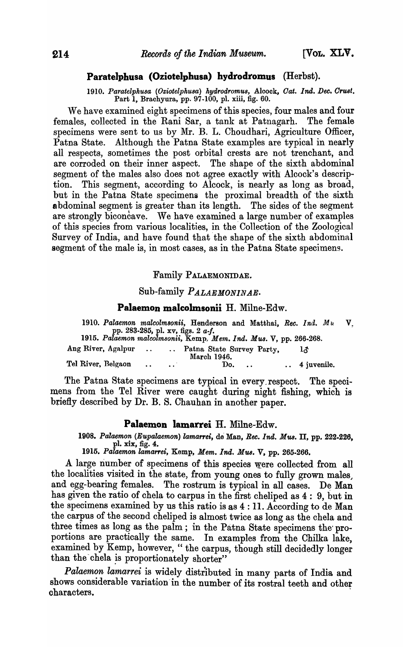# Paratelphusa (Oziotelphusa) hydrodromus (Herbst).

*1910. Paratelphusa (Oziotelphu8a) hydrodromu8,* Aloook, *Oat.* 1M. *Dee. OrWJt.*  Part 1, Braohyura, pp. 97-100, pI. xiii, fig. 60.

We have examined eight specimens of this species, four males and four<br>values, collected in the Rani Sar, a tank at Patnagarh. The female females, collected in the Rani Sar, a tank at Patnagarh. specimens were sent to us by Mr. B. L. Choudhari, Agriculture Officer, Patna State. Although the Patna State examples are typical in nearly all respects, sometimes the post orbital crests are not trenchant, and are corroded on their inner aspect. The shape of the sixth abdominal segment of the males also does not agree exactly with Alcock's description. This segment, according to Alcock, is nearly as long as broad, but in the Patna State specimens the proximal breadth of the sixth abdominal segment is greater than its length. The sides of the segment are strongly biconcave. We have examined a large number of examples of this species from various localities, in the Collection of the Zoological Survey of India, and have found that the shape of the sixth abdominal segment of the male is, in most cases, as in the Patna State specimens.

## Family PALAEMONIDAE.

## Sub-family *P ALAEMONINAE.*

### Palaemon malcolmsonii H. Milne-Edw.

| 1910. Palaemon malcolmsonii, Henderson and Matthai, Rec. Ind. Mu  |  | pp. 283-285, pl. $xy$ , figs. 2 $a-f$ . |  |                         | $\mathbf{V}$ |
|-------------------------------------------------------------------|--|-----------------------------------------|--|-------------------------|--------------|
| 1915. Palaemon malcolmsonii, Kemp, Mem. Ind. Mus. V, pp. 266-268. |  |                                         |  |                         |              |
| Ang River, Agalpur  Patna State Survey Party,                     |  | March 1946.                             |  | エズ                      |              |
| Tel River, Belgaon                                                |  |                                         |  | Do $\cdots$ 4 juvenile. |              |

The Patna State specimens are typical in every\_respect. The specimens from the Tel River were caught during night fishing, which is briefly described by Dr. B. S. Chauhan in another paper.

#### Palaemon lamarrei H. Milne-Edw.

*1908. Palaemon (Eupalaemon) lamarrei,* de Man, *Ree. Ind. M'U8.* II, pp. 222.226, pl. xix, fig. 4.

*1915. Palaemon lamarrei,* Kemp, *Mem. Ind. MUB.* V, pp. 265.266.

A large number of specimens of this species were collected from all the localities visited in the state, from young ones to fully grown males, and egg-bearing females. The rostrum is typical in all cases. De Man has given the ratio of chela to carpus in the first cheliped as 4: 9, but in the specimens examined by us this ratio is as  $4:11$ . According to de Man the carpus of the second cheliped is almost twice as long as the chela and three times as long as the palm; in the Patna State specimens the proportions are practically the same. In examples from the Chilka lake, examined by Kemp, however, "the carpus, though still decidedly longer than the chela is proportionately shorter"

*Palaemon lamarrei* is widely distributed in many parts of India and shows considerable variation in the number of its rostral teeth and other characters.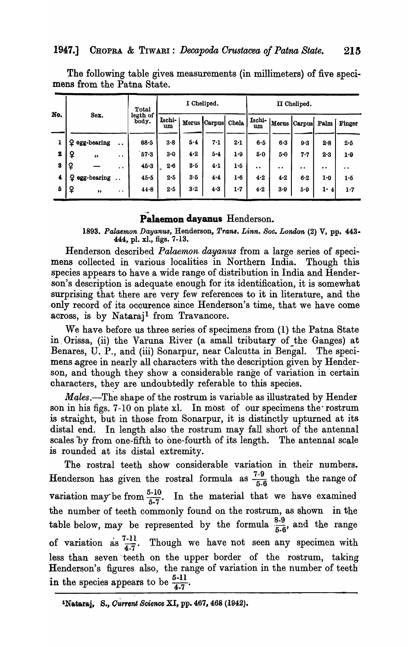|          |                 |                                              | Total             |              | I Cheliped. |         |       |                  | II Cheliped. |               |                  |                      |
|----------|-----------------|----------------------------------------------|-------------------|--------------|-------------|---------|-------|------------------|--------------|---------------|------------------|----------------------|
| No.      | Sex.            |                                              | legth of<br>body. | Ischi-<br>um | Merus       | Carpus  | Chela | Ischi-<br>um     | Merus        | Carpus        | Palm             | <b>Finger</b>        |
| 1        | Q egg-bearing   | $\bullet$                                    | $68 - 5$          | $3 - 8$      | 5.4         | 7.1     | 2.1   | 6.5              | $6 - 3$      | 9.3           | 2.8              | $2 - 5$              |
| 2        | ¥<br>"          | $\bullet\hspace{0.4mm}\bullet\hspace{0.4mm}$ | 57.3              | 3.0          | 4.2         | $5 - 4$ | 1.9   | 5.0              | 5.0          | $7 - 7$       | 2.3              | 1.9                  |
| $\bf{3}$ | ¥               | $\cdot$                                      | 45.3              | $2-6$        | $3 - 5$     | $4 - 1$ | 1.5   | $\bullet\bullet$ | $\bullet$    | $\cdot \cdot$ | $\bullet\bullet$ | $\ddot{\phantom{a}}$ |
| 4        | $Q$ egg-bearing | $\ddot{\phantom{a}}$                         | 45.5              | 2.5          | 3.5         | 4.4     | 1.6   | 4.2              | 4.2          | $6-2$         | 1.9              | 1.5                  |
| 5        | ¥<br>,,         | $\bullet\hspace{0.4mm}\bullet\hspace{0.4mm}$ | 44.8              | 2.5          | 3.2         | 4.3     | 1.7   | 4.2              | 3.9          | 5.9           | $1 \cdot 4$      | 1.7                  |

The following table gives measurements (in millimeters) of five specimens from the Patna State.

# Palaemon dayanus Henderson.

1893. Palaemon Dayanus, Henderson, Trans. Linn. Soc. London (2) V, pp. 443-444, pl. xl., figs. 7-13.

Henderson described *Palaemon dayanus* from a large series of specimens collected in various localities in Northern India. Though this species appears to have a wide range of distribution in India and Henderson's description is adequate enough for its identification, it is somewhat surprising that there are very few references to it in literature, and the only record of its occurence since Henderson's time, that we have come across, is by Nataraj<sup>1</sup> from Travancore.

We have before us three series of specimens from (1) the Patna State in Orissa, (ii) the Varuna River (a small tributary of the Ganges) at Benares, U. P., and (iii) Sonarpur, near Calcutta in Bengal. The specimens agree in nearly all characters with the description given by Henderson, and though they show a considerable range of variation in certain characters, they are undoubtedly referable to this species.

Males.-The shape of the rostrum is variable as illustrated by Hender son in his figs. 7-10 on plate xl. In most of our specimens the rostrum is straight, but in those from Sonarpur, it is distinctly upturned at its distal end. In length also the rostrum may fall short of the antennal scales by from one-fifth to one-fourth of its length. The antennal scale is rounded at its distal extremity.

The rostral teeth show considerable variation in their numbers. Henderson has given the rostral formula as  $\frac{7.9}{5.6}$  though the range of variation may be from  $\frac{5\cdot 10}{5\cdot 7}$ . In the material that we have examined the number of teeth commonly found on the rostrum, as shown in the table below, may be represented by the formula  $\frac{8.9}{5.6}$ , and the range of variation as  $\frac{7-11}{4\sqrt{7}}$ . Though we have not seen any specimen with less than seven teeth on the upper border of the rostrum, taking Henderson's figures also, the range of variation in the number of teeth in the species appears to be  $\frac{5-11}{4\cdot7}$ .

<sup>1</sup>Nataraj, S., Current Science XI, pp. 467, 468 (1942).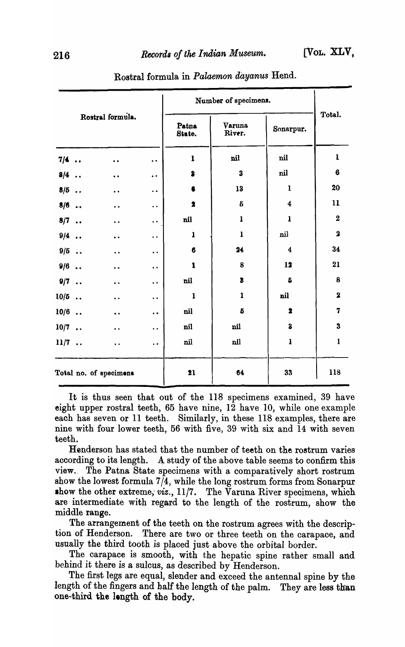|        |                  |                        |                      |                                     |                         | Number of specimens.    |                         |  |  |
|--------|------------------|------------------------|----------------------|-------------------------------------|-------------------------|-------------------------|-------------------------|--|--|
|        | Rostral formula. |                        |                      | Varuna<br>Patna<br>River.<br>State. |                         | Sonarpur.               | Total.                  |  |  |
| $7/4$  |                  | $\ddot{\phantom{a}}$   | $\ddot{\phantom{0}}$ | $\mathbf{1}$                        | nil                     | nil                     | $\mathbf{1}$            |  |  |
| $8/4$  |                  | $\ddot{\phantom{0}}$   | $\ddot{\phantom{0}}$ | $\bullet$                           | $\overline{\mathbf{3}}$ | nil                     | $\bf 6$                 |  |  |
| $8/5$  |                  | $\ddot{\phantom{0}}$   | $\ddot{\phantom{1}}$ | 6                                   | 13                      | $\mathbf{1}$            | 20                      |  |  |
| $8/6$  |                  | $\ddot{\phantom{0}}$   | $\ddot{\phantom{0}}$ | $\bullet$                           | $\pmb{5}$               | $\boldsymbol{4}$        | 11                      |  |  |
| $8/7$  |                  | $\ddot{\phantom{0}}$   | $\ddot{\phantom{0}}$ | nil                                 | $\mathbf{1}$            | $\mathbf{1}$            | $\boldsymbol{2}$        |  |  |
| $9/4$  |                  | $\ddot{\phantom{0}}$   | $\bullet$ $\bullet$  | $\mathbf l$                         | $\mathbf{1}$            | nil                     | $\overline{\mathbf{2}}$ |  |  |
| $9/5$  |                  | $\ddot{\phantom{0}}$   | $\ddot{\phantom{1}}$ | 6                                   | 24                      | $\overline{\mathbf{4}}$ | 34                      |  |  |
| $9/6$  |                  | $\ddot{\phantom{0}}$   | $\ddot{\phantom{0}}$ | $\pmb{\mathbf{1}}$                  | $\bf 8$                 | 12                      | 21                      |  |  |
| $9/7$  |                  | $\ddot{\phantom{0}}$   | $\ddot{\phantom{0}}$ | nil                                 | $\bullet$               | 5                       | 8                       |  |  |
| $10/5$ |                  | $\ddot{\phantom{0}}$   | $\ddot{\phantom{0}}$ | $\mathbf{1}$                        | $\mathbf{1}$            | nil                     | $\overline{\mathbf{2}}$ |  |  |
| $10/6$ |                  | $\ddot{\phantom{a}}$   | $\ddot{\phantom{0}}$ | nil                                 | $\boldsymbol{5}$        | $\bullet$               | 7                       |  |  |
| $10/7$ |                  | $\ddot{\phantom{a}}$   | $\ddot{\phantom{0}}$ | nil                                 | nil                     | $\bf{3}$                | $\bf{3}$                |  |  |
| $11/7$ |                  | $\ddot{\phantom{0}}$   | $\ddot{\phantom{0}}$ | nil                                 | nil                     | $\mathbf{1}$            | $\mathbf{I}$            |  |  |
|        |                  | Total no. of specimens |                      | 21                                  | 64                      | 33                      | 118                     |  |  |

## Rostral formula in *Palaemon dayanus* Hend.

It is thus seen that out of the 118 specimens examined, 39 have 'eight upper rostral teeth, 65 have nine, 12 have 10, while one example each has seven or 11 teeth. Similarly, in these 118 examples, there are nine with four lower teeth, 56 with five, 39 with six and 14 with seven teeth.

Henderson has stated that the number of teeth on the rostrum varies according to its length. A study of the above table seems to confirm this view. The Patna State specimens with a comparatively short rostrum show the lowest formula 7/4, while the long rostrum forms from Sonarpur show the other extreme, viz.,  $11/7$ . The Varuna River specimens, which are intermediate with regard to the length of the rostrum, show the middle range.

The arrangement of the teeth on the rostrum agrees with the description of Henderson. There are two or three teeth on the carapace, and usually the third tooth is placed just above the orbital border.

The carapace is smooth, with the hepatic spine rather small and behind it there is a sulcus, as described by Henderson.

The first legs are equal, slender and exceed the antennal spine by the length of the fingers and half the length of the palm. They are less than one-third the length of the body.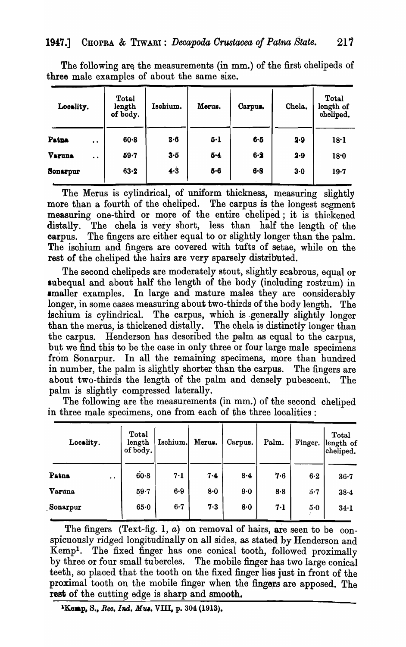| Locality.                      | <b>Total</b><br>length<br>of body. | Isohium. |         | Carpus. | Chela. | Total<br>length of<br>cheliped. |
|--------------------------------|------------------------------------|----------|---------|---------|--------|---------------------------------|
| Patna<br>$\bullet$             | $60 - 8$                           | 3.6      | $5 - 1$ | $6 - 5$ | 2.9    | 18·1                            |
| Varuna<br>$\ddot{\phantom{a}}$ | $59 - 7$                           | 3.5      | 5.4     | $6 - 2$ | 2.9    | 18.0                            |
| Sonarpur                       | $63-2$                             | 4.3      | 5.6     | $6 - 8$ | $3-0$  | 19.7                            |

The following are the measurements (in mm.) of the first chelipeds of three male examples of about the same size.

The Merus is cylindrical, of uniform thickness, measuring slightly more than a fourth of the cheliped. The carpus is the longest segment measuring one-third or more of the entire cheliped; it is thickened distally. The chela is very short, less than half the length of the carpus. The fingers are either equal to or slightly longer than the palm. The ischium and fingers are covered with tufts of setae, while on the rest of the cheliped the hairs are very sparsely distributed.

The second chelipeds are moderately stout, slightly scabrous, equal or subequal and about half the length of the body (including rostrum) in smaller examples. In large and mature males they are considerably longer, in some cases measuring about two-thirds of the body length. The ischium is cylindrical. The carpus, which is .generally slightly longer than the merus, is thickened distally. The chela is distinctly longer than the carpus. Henderson has described the palm as equal to the carpus, but we find this to be the case in only three or four large male specimens from Sonarpur. In all the remaining specimens, more than hundred in number, the palm is slightly shorter than the carpus. The fingers are about two-thirds the length of the palm and densely pubescent. The palm is slightly compressed laterally.

The following are the measurements (in mm.) of the second cheliped in three male specimens, one from each of the three localities:

| Locality.                     | Total<br>length<br>of body. | Ischium. | Merus. | Carpus. | Palm. | Finger. | Total<br>length of<br>cheliped. |
|-------------------------------|-----------------------------|----------|--------|---------|-------|---------|---------------------------------|
| Patna<br>$\ddot{\phantom{a}}$ | $60 - 8$                    | 7.1      | 7.4    | 8·4     | 7.6   | $6-2$   | $36 - 7$                        |
| Varuna                        | $59 - 7$                    | 6.9      | 8·0    | 9·0     | 8.8   | 5.7     | $38 - 4$                        |
| Sonarpur                      | 65.0                        | $6 - 7$  | 7.3    | 8.0     | 7.1   | 5.0     | 34·1                            |

The fingers (Text-fig. 1,  $a$ ) on removal of hairs, are seen to be conspicuously ridged longitudinally on all sides, as stated by Henderson and Kempl. The fixed finger has one conical tooth, followed proximally by three or four small tubercles. The mobile finger has two large conical teeth, so placed that the tooth on the fixed finger lies just in front of the proximal tooth on the mobile finger when the fingers are apposed. The rest of the cutting edge is sharp and smooth.

<sup>1</sup>Kemp, S., *Rec. Ind. Mus.* VIII, p. 304 (1913).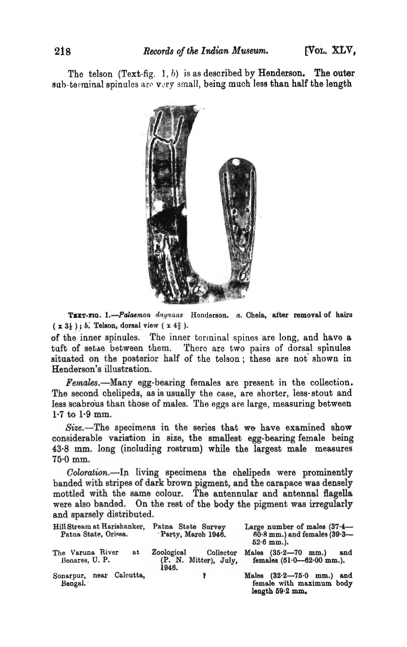The telson (Text-fig.  $1, b$ ) is as described by Henderson. The outer sub-terminal spinules are very small, being much less than half the length



TEXT-FIG. 1.-Palaemon dayanus Honderson. a. Chela, after removal of hairs  $(x 3\frac{1}{3})$ ; *b.* Telson, dorsal view  $(x 4\frac{2}{3})$ .

of the inner spinules. The inner terminal spines are long, and have a tuft of setae between them. There are two pairs of dorsal spinules situated on the posterior half of the telson; these are not shown in Henderson's illustration.

Females.—Many egg-bearing females are present in the collection. The second chelipeds, as is usually the case, are shorter, less-stout and less scabrous than those of males. The eggs are large, measuring between  $1.7$  to  $1.9$  mm.

Size.-The specimens in the series that we have examined show considerable variation in size, the smallest egg-bearing female being 43.8 mm. long (including rostrum) while the largest male measures 75.0 mm.

Coloration.--In living specimens the chelipeds were prominently banded with stripes of dark brown pigment, and the carapace was densely mottled with the same colour. The antennular and antennal flagella were also banded. On the rest of the body the pigment was irregularly and sparsely distributed.

| Hill Stream at Harishanker,<br>Patna State, Orissa. | Patna State Survey<br>Party, March 1946.                         | Large number of males $(37.4 -$<br>$60.8$ mm.) and females $(39.3 -$<br>$52.6$ mm.). |
|-----------------------------------------------------|------------------------------------------------------------------|--------------------------------------------------------------------------------------|
| The Varuna River<br>at<br>Benares, U.P.             | <b>Zoological</b><br>Collector<br>(P. N. Mitter), July,<br>1946. | Males $(35.2 - 70$ mm.)<br>and<br>females $(51.0 - 62.00$ mm.).                      |
| Sonarpur, near Calcutta,<br>Bengal.                 |                                                                  | Males $(32.2 - 75.0$ mm.)<br>and<br>female with maximum body<br>length $59.2$ mm.    |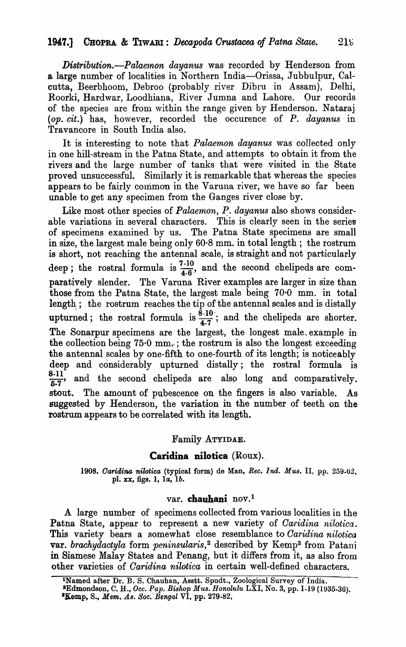*Distribution.—Palaemon dayanus* was recorded by Henderson from a large number of localities in Northern India--Orissa, Jubbulpur, Cal-. cutta, Beerbhoom, Debroo (probably river Dibru in Assam), Delhi, R.oorki, Hardwar, Loodhiana, River Jumna and Lahore. Our records of the species are from within the range given by Henderson. Nataraj *(op. cit.)* has, however, recorded the occurence of *P. dayanus* in Travancore in South India also.

It is interesting to note that *Palaemon dayanus* was collected only in one hill-stream in the Patna State, and attempts to obtain it from the rivers and the large number of tanks that were visited in the State proved unsuccessful. Similarly it is remarkable that whereas the species appears to be fairly common in the Varuna river, we have so far been unable to get any specimen from the Ganges river close by.

Like most other species of *Palaemon, P. dayanus* also shows considerable variations in several characters. This is clearly seen in the series of specimens examined by us. The Patna State specimens are small in size, the largest male being only 60·8 mm. in total length ; the rostrum is short, not reaching the antennal scale, is straight and not particularly deep; the rostral formula is  $\frac{7\cdot10}{4\cdot6}$ , and the second chelipeds are comparatively slender. The Varuna River examples are larger in size than those from the Patna State, the largest male being 70·0 mm. in total length ; the rostrum reaches the tip of the antennal scales and is distally upturned; the rostral formula is  $\frac{\dot{\bar{g}} \cdot 10}{4.7}$ ; and the chelipeds are shorter. The Sonarpur specimens are the largest, the longest male\_ example in the collection being  $75.0 \text{ mm}$ ; the rostrum is also the longest exceeding the antennal scales by one-fifth to one-fourth of its length; is noticeably deep and considerably upturned distally; the rostral formula is<br>8-11  $\frac{6-11}{5-7}$ , and the second chelipeds are also long and comparatively. stout. The amount of pubescence on the fingers is also variable. suggested by Henderson, the variation in the number of teeth on the rostrum appears to be correlated with its length.

### Family ATYIDAE.

### Caridina nilotica  $(Roux)$ .

*1908. Oaridina nilotiea* (typioal form) de Man, *Ree. Ind. Mus.* II, pp. 259-62, pl. xx, figs. 1, la, *lb.* 

### var. chauhani nov.<sup>1</sup>

A large number of specimens collected from various localities in the Patna State, appear to represent a new variety of *Caridina nilotica*. This variety bears a somewhat close resemblance to *Oaridina n·ilotica*  var. *brachydactyla* form *peninsularis,* <sup>2</sup>des.cribed by Kemp3 from Patani in Siamese Malay States and Penang, but it differs from it, as also from other varieties of *Oaridina nilotica* in certain well-defined characters.

<sup>&</sup>lt;sup>1</sup>Named after Dr. B. S. Chauhan, Asstt. Spudt., Zoological Survey of India. sEdmondson, C. H., *Oec. Pap. Bishop Mus. Honolulu* LXI, No.3, pp. 1-19 (1935.30).  $^3$ Kemp, S., *Mem. As. Soc. Bengal*  $\nabla$ I, pp. 279-82,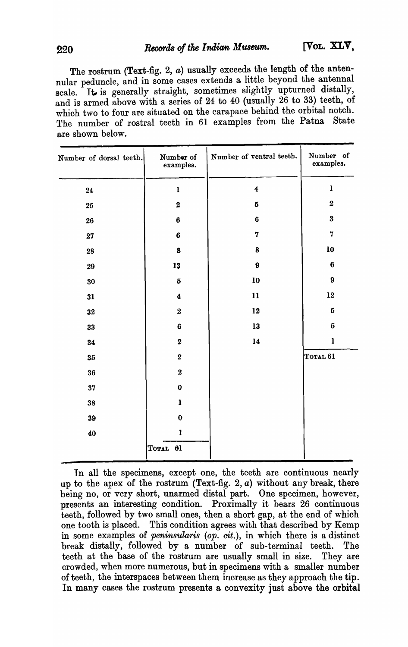The rostrum (Text-fig. 2,  $a$ ) usually exceeds the length of the antennular peduncle, and in some cases extends a little beyond the antennal scale. It is generally straight, sometimes slightly upturned distally, and is armed above with a series of 24 to 40 (usually 26 to 33) teeth, of which two to four are situated on the carapace behind the orbital notch. The number of rostral teeth in 61 examples from the Patna State are shown below.

| Number of dorsal teeth. | Number of<br>examples.  | Number of ventral teeth. | Number of<br>examples.                                                                                                                                                                                                                                                                                                                                                                                                                                                             |
|-------------------------|-------------------------|--------------------------|------------------------------------------------------------------------------------------------------------------------------------------------------------------------------------------------------------------------------------------------------------------------------------------------------------------------------------------------------------------------------------------------------------------------------------------------------------------------------------|
| ${\bf 24}$              | $\mathbf{1}$            | $\overline{\mathbf{4}}$  | $\mathbf{I}% _{t}\left  \mathbf{I}_{t}\right  ^{-1}\left  \mathbf{I}_{t}\right  ^{-1}\left  \mathbf{I}_{t}\right  ^{-1}\left  \mathbf{I}_{t}\right  ^{-1}\left  \mathbf{I}_{t}\right  ^{-1}\left  \mathbf{I}_{t}\right  ^{-1}\left  \mathbf{I}_{t}\right  ^{-1}\left  \mathbf{I}_{t}\right  ^{-1}\left  \mathbf{I}_{t}\right  ^{-1}\left  \mathbf{I}_{t}\right  ^{-1}\left  \mathbf{I}_{t}\right  ^{-1}\left  \mathbf{I}_{t}\right  ^{-1}\left  \mathbf{I}_{t}\right  ^{-1}\left $ |
| 25                      | $\overline{\mathbf{2}}$ | $\bf 5$                  | $\bf 2$                                                                                                                                                                                                                                                                                                                                                                                                                                                                            |
| 26                      | $\bf{6}$                | $\bf 6$                  | $\bf{3}$                                                                                                                                                                                                                                                                                                                                                                                                                                                                           |
| 27                      | $\bf{6}$                | $\mathbf 7$              | $\bf 7$                                                                                                                                                                                                                                                                                                                                                                                                                                                                            |
| 28                      | $\pmb{8}$               | $\bf 8$                  | 10                                                                                                                                                                                                                                                                                                                                                                                                                                                                                 |
| 29                      | 13                      | $\boldsymbol{9}$         | $\bf 6$                                                                                                                                                                                                                                                                                                                                                                                                                                                                            |
| 30                      | $\bf 5$                 | 10                       | $\boldsymbol{9}$                                                                                                                                                                                                                                                                                                                                                                                                                                                                   |
| 31                      | $\boldsymbol{4}$        | 11                       | 12                                                                                                                                                                                                                                                                                                                                                                                                                                                                                 |
| 32                      | $\bf 2$                 | 12                       | $\bf 5$                                                                                                                                                                                                                                                                                                                                                                                                                                                                            |
| 33                      | $\bf{6}$                | 13                       | $\bf 5$                                                                                                                                                                                                                                                                                                                                                                                                                                                                            |
| 34                      | $\pmb{2}$               | 14                       | $\mathbf{I}$                                                                                                                                                                                                                                                                                                                                                                                                                                                                       |
| 35                      | $\bf 2$                 |                          | TOTAL <sub>61</sub>                                                                                                                                                                                                                                                                                                                                                                                                                                                                |
| 36                      | $\bf{2}$                |                          |                                                                                                                                                                                                                                                                                                                                                                                                                                                                                    |
| 37                      | $\mathbf 0$             |                          |                                                                                                                                                                                                                                                                                                                                                                                                                                                                                    |
| 38                      | $\mathbf{I}$            |                          |                                                                                                                                                                                                                                                                                                                                                                                                                                                                                    |
| 39                      | $\bf{0}$                |                          |                                                                                                                                                                                                                                                                                                                                                                                                                                                                                    |
| 40                      | $\mathbf{1}$            |                          |                                                                                                                                                                                                                                                                                                                                                                                                                                                                                    |
|                         | TOTAL 01                |                          |                                                                                                                                                                                                                                                                                                                                                                                                                                                                                    |
|                         |                         |                          |                                                                                                                                                                                                                                                                                                                                                                                                                                                                                    |

In all the specimens, except one, the teeth are continuous nearly up to the apex of the rostrum (Text-fig. 2,  $a$ ) without any break, there being no, or very short, unarmed distal part. One specimen, however, presents an interesting condition. Proximally it bears 26 continuous teeth, followed by two small ones, then a short gap, at the end of which one tooth is placed. This condition agrees with that described by Kemp in some examples of *peninsularis (op. cit.),* in which there is a distinct break distally, followed by a number of sub-terminal teeth. The teeth at the base of the rostrum are usually small in size. They are crowded, when more numerous, but in specimens with a smaller number of teeth, the interspaces between them increase as they approach the tip. In many cases the rostrum presents a convexity just above the orbital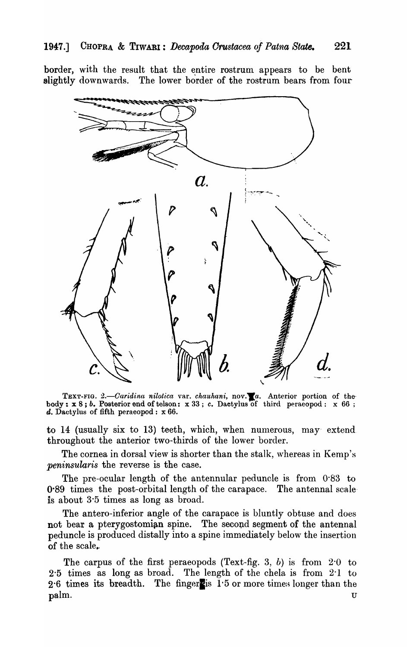border, with the result that the entire rostrum appears to be bent slightly downwards. The lower border of the rostrum bears from four



TEXT-FIG. 2.-Caridina nilotica var. *chauhani*, nov.<sup>1</sup>a. Anterior portion of thebody:  $x 8$ ; *b.* Posterior end of telson:  $x 33$ ; *c.* Dactylus of third peraeopod:  $x 66$ ; d. Dactylus of fifth peraeopod:  $x 66$ .

to 14 (usually six to 13) teeth, which, when numerous, may extend throughout the anterior two-thirds of the lower border.

The cornea in dorsal view is shorter than the stalk, whereas in Kemp's *peninsula'ris* the reverse is the case.

The pre-ocular length of the antennular peduncle is from 0·83 to  $0.89$  times the post-orbital length of the carapace. The antennal scale is about 3·5 times as long as broad.

The antero-inferior angle of the carapace is bluntly obtuse and does not bear a pterygostomian spine. The second segment of the antennal peduncle is produced distally into a spine immediately below the insertion of the scale.

The carpus of the first peraeopods (Text-fig. 3, b) is from  $2.0$  to 2·5 times as long as broad. The length of the chela is from 2·1 to  $2.6$  times its breadth. The fingers  $1.5$  or more times longer than the  $\mathbf{p}\mathbf{a}$ lm. U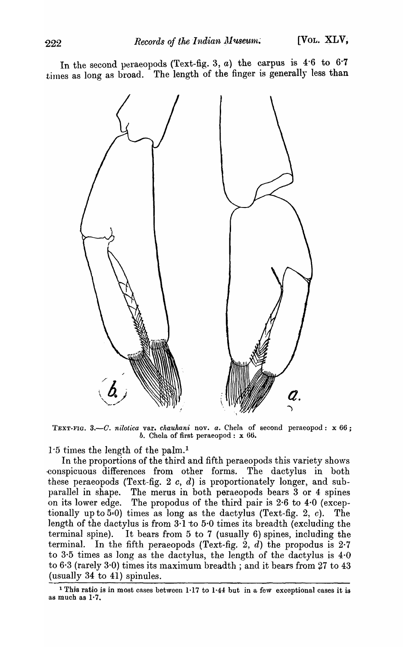In the second peraeopods (Text-fig. 3,  $a$ ) the carpus is 4.6 to 6.7 times as long as broad. The length of the finger is generally less than



TEXT-FIG. 3.-C. nilotica var. *chauhani* nov. *a*. Chela of second peraeopod: x 66; *b.* Chela of first peraeopod: x 66.

 $1.5$  times the length of the palm.<sup>1</sup>

In the proportions of the third and fifth peraeopods this variety shows ·conspicuous differences from other forms. The dactylus in both these peraeopods (Text-fig. 2 *c,* d) is proportionately longer, and subparallel in shape. The merus in both peraeopods bears 3 or 4 spines on its lower edge. The propodus of the third pair is 2·6 to 4·0 (exceptionally up to  $5.0$ ) times as long as the dactylus (Text-fig. 2, c). The length of the dactylus is from  $3 \cdot 1$  to  $5 \cdot 0$  times its breadth (excluding the terminal spine). It bears from  $5$  to  $7$  (usually  $6$ ) spines, including the terminal. In the fifth peraeopods (Text-fig. 2,  $d$ ) the propodus is 2.7 to 3·5 times as long as the dactylus, the length of the dactylus is 4·0 to  $6·3$  (rarely  $3·0$ ) times its maximum breadth; and it bears from  $27$  to  $43$ (usually 34 to 41) spinules.

<sup>&</sup>lt;sup>1</sup> This ratio is in most cases between 1·17 to 1·44 but in a few exceptional cases it is as much as 1·7.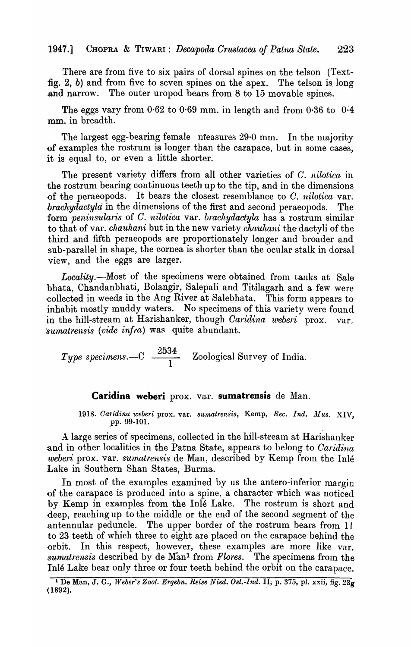There are from five to six pairs of dorsal spines on the telson (Textfig. 2, b) and from five to seven spines on the apex. The telson is long. and narrow. The outer uropod bears from 8 to 15 movable spines.

The eggs vary from  $0.62$  to  $0.69$  mm. in length and from  $0.36$  to  $0.4$ mm. in breadth.

The largest egg-bearing female niteasures  $29.0$  mm. In the majority of examples the rostrum is longer than the carapace, but in some cases, it is equal to, or even a little shorter.

The present variety differs from all other varieties of C. *nilot'ica* in the rostrum bearing continuous teeth up to the tip, and in the dimensions of the peraeopods. It bears the closest resemblance to  $C$ . *nilotica* var. *brachydactyla* in the dimensions of the first and second peraeopods. The form *peninsularis* of *C. nilotica* var. *brachydactyla* has a rostrum similar to that of var. *chauhani* but in the new variety *chauhani* the dactyli of the third and fifth peraeopods are proportionately longer and broader and sub-parallel in shape, the cornea is shorter than the ocular stalk in dorsal view, and the eggs are larger.

Locality.-Most of the specimens were obtained from tanks at Sale bhata, Chandanbhati, Bolangir, Salepali and Titilagarh and a few were eollected in weeds in the Ang River at Salebhata. This form appears to inhabit mostly muddy waters. No specimens of this variety were found in the hill-stream at Harishanker, though *Caridina weberi* prox. var. *'sumatre'nsis (vide infra)* was quite abundant.

 $\emph{Type specimens} \_\text{C} \ \frac{\textcolor{red}{2534}}{\textcolor{red}{1}}$  Zoological Survey of India.

#### **Caridina weberi** prox. var. **sumatrensis** de Man.

1918. Caridina weberi prox. var. *sumatrensis*, Kemp, Rec. Ind. Mus. XIV, ,pp. 99-101.

A large series of specimens, collected in the hill-stream at Harishanker and in other localities in the Patna State, appears to belong to *Caridina weberi* prox. var. *sumatrensis* de Man, described by Kemp from the Inle Lake in Southern Shan States, Burma.

In most of the examples examined by us the antero-inferior margin of the carapace is produced into a spine, a character which was noticed by Kemp in examples from the Inle Lake. The rostrum is short and deep, reaching up to the middle or the end of the second segment of the antennular peduncle. The upper border of the rostrum bears from 11 to 23 teeth of which three to eight are placed on the carapace behind the orbit. In this respect, however, these examples are more like var. *sumatrensis* described by de Man<sup>1</sup> from *Flores*. The specimens from the Inle Lake bear only three or four teeth behind the orbit on the carapace.

<sup>&</sup>lt;sup>1</sup> De Man, J. G., *Weber's Zool. Ergebn. Reise Nied. Ost.-Ind.* II; p. 375, pl. xxii, fig. 23g ( 1892).